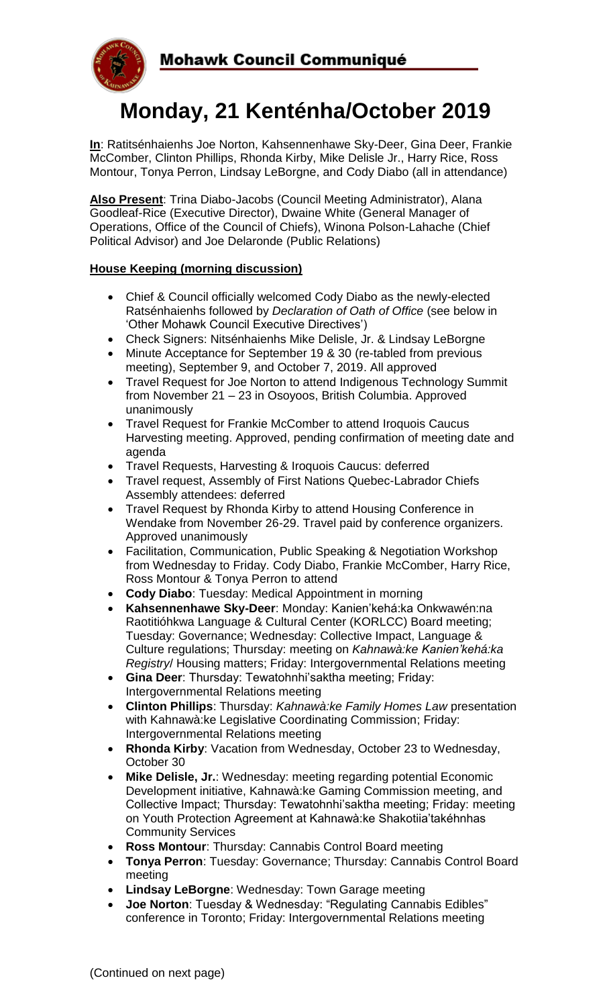

# **Monday, 21 Kenténha/October 2019**

**In**: Ratitsénhaienhs Joe Norton, Kahsennenhawe Sky-Deer, Gina Deer, Frankie McComber, Clinton Phillips, Rhonda Kirby, Mike Delisle Jr., Harry Rice, Ross Montour, Tonya Perron, Lindsay LeBorgne, and Cody Diabo (all in attendance)

**Also Present**: Trina Diabo-Jacobs (Council Meeting Administrator), Alana Goodleaf-Rice (Executive Director), Dwaine White (General Manager of Operations, Office of the Council of Chiefs), Winona Polson-Lahache (Chief Political Advisor) and Joe Delaronde (Public Relations)

## **House Keeping (morning discussion)**

- Chief & Council officially welcomed Cody Diabo as the newly-elected Ratsénhaienhs followed by *Declaration of Oath of Office* (see below in 'Other Mohawk Council Executive Directives')
- Check Signers: Nitsénhaienhs Mike Delisle, Jr. & Lindsay LeBorgne
- Minute Acceptance for September 19 & 30 (re-tabled from previous meeting), September 9, and October 7, 2019. All approved
- Travel Request for Joe Norton to attend Indigenous Technology Summit from November 21 – 23 in Osoyoos, British Columbia. Approved unanimously
- Travel Request for Frankie McComber to attend Iroquois Caucus Harvesting meeting. Approved, pending confirmation of meeting date and agenda
- Travel Requests, Harvesting & Iroquois Caucus: deferred
- Travel request, Assembly of First Nations Quebec-Labrador Chiefs Assembly attendees: deferred
- Travel Request by Rhonda Kirby to attend Housing Conference in Wendake from November 26-29. Travel paid by conference organizers. Approved unanimously
- Facilitation, Communication, Public Speaking & Negotiation Workshop from Wednesday to Friday. Cody Diabo, Frankie McComber, Harry Rice, Ross Montour & Tonya Perron to attend
- **Cody Diabo**: Tuesday: Medical Appointment in morning
- **Kahsennenhawe Sky-Deer**: Monday: Kanien'kehá:ka Onkwawén:na Raotitióhkwa Language & Cultural Center (KORLCC) Board meeting; Tuesday: Governance; Wednesday: Collective Impact, Language & Culture regulations; Thursday: meeting on *Kahnawà:ke Kanien'kehá:ka Registry*/ Housing matters; Friday: Intergovernmental Relations meeting
- **Gina Deer**: Thursday: Tewatohnhi'saktha meeting; Friday: Intergovernmental Relations meeting
- **Clinton Phillips**: Thursday: *Kahnawà:ke Family Homes Law* presentation with Kahnawà:ke Legislative Coordinating Commission; Friday: Intergovernmental Relations meeting
- **Rhonda Kirby**: Vacation from Wednesday, October 23 to Wednesday, October 30
- **Mike Delisle, Jr.**: Wednesday: meeting regarding potential Economic Development initiative, Kahnawà:ke Gaming Commission meeting, and Collective Impact; Thursday: Tewatohnhi'saktha meeting; Friday: meeting on Youth Protection Agreement at Kahnawà:ke Shakotiia'takéhnhas Community Services
- **Ross Montour**: Thursday: Cannabis Control Board meeting
- **Tonya Perron**: Tuesday: Governance; Thursday: Cannabis Control Board meeting
- **Lindsay LeBorgne**: Wednesday: Town Garage meeting
- **Joe Norton**: Tuesday & Wednesday: "Regulating Cannabis Edibles" conference in Toronto; Friday: Intergovernmental Relations meeting